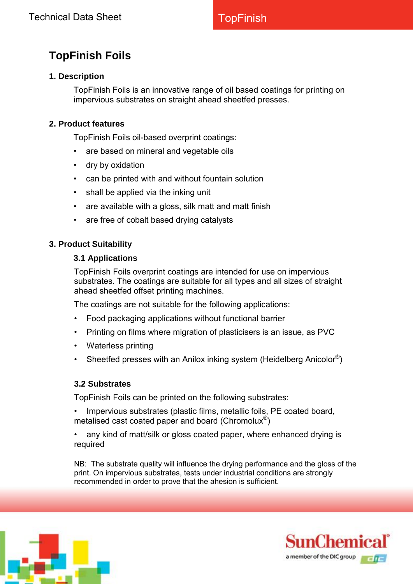# **TopFinish Foils**

# **1. Description**

TopFinish Foils is an innovative range of oil based coatings for printing on impervious substrates on straight ahead sheetfed presses.

### **2. Product features**

TopFinish Foils oil-based overprint coatings:

- are based on mineral and vegetable oils
- dry by oxidation
- can be printed with and without fountain solution
- shall be applied via the inking unit
- are available with a gloss, silk matt and matt finish
- are free of cobalt based drying catalysts

#### **3. Product Suitability**

#### **3.1 Applications**

TopFinish Foils overprint coatings are intended for use on impervious substrates. The coatings are suitable for all types and all sizes of straight ahead sheetfed offset printing machines.

The coatings are not suitable for the following applications:

- Food packaging applications without functional barrier
- Printing on films where migration of plasticisers is an issue, as PVC
- Waterless printing
- Sheetfed presses with an Anilox inking system (Heidelberg Anicolor®)

#### **3.2 Substrates**

TopFinish Foils can be printed on the following substrates:

- Impervious substrates (plastic films, metallic foils, PE coated board, metalised cast coated paper and board (Chromolux®)
- any kind of matt/silk or gloss coated paper, where enhanced drying is required

NB: The substrate quality will influence the drying performance and the gloss of the print. On impervious substrates, tests under industrial conditions are strongly recommended in order to prove that the ahesion is sufficient.



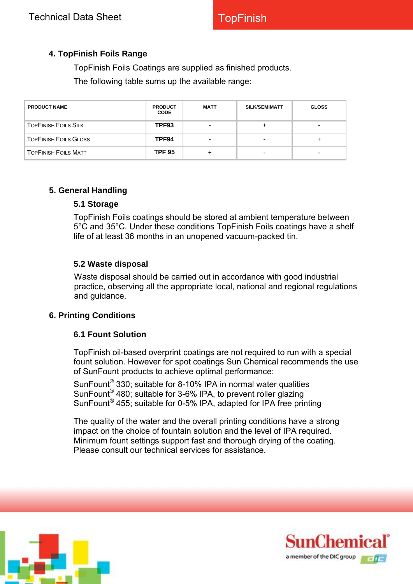# **4. TopFinish Foils Range**

TopFinish Foils Coatings are supplied as finished products.

The following table sums up the available range:

| <b>PRODUCT NAME</b>          | <b>PRODUCT</b><br><b>CODE</b> | <b>MATT</b>              | SILK/SEMIMATT | <b>GLOSS</b> |
|------------------------------|-------------------------------|--------------------------|---------------|--------------|
| <b>TOPFINISH FOILS SILK</b>  | TPF93                         | $\overline{\phantom{0}}$ |               | ۰            |
| <b>TOPFINISH FOILS GLOSS</b> | TPF94                         | -                        |               |              |
| <b>TOPFINISH FOILS MATT</b>  | <b>TPF 95</b>                 |                          |               | -            |

#### **5. General Handling**

#### **5.1 Storage**

TopFinish Foils coatings should be stored at ambient temperature between 5°C and 35°C. Under these conditions TopFinish Foils coatings have a shelf life of at least 36 months in an unopened vacuum-packed tin.

### **5.2 Waste disposal**

Waste disposal should be carried out in accordance with good industrial practice, observing all the appropriate local, national and regional regulations and guidance.

#### **6. Printing Conditions**

#### **6.1 Fount Solution**

TopFinish oil-based overprint coatings are not required to run with a special fount solution. However for spot coatings Sun Chemical recommends the use of SunFount products to achieve optimal performance:

SunFount<sup>®</sup> 330; suitable for 8-10% IPA in normal water qualities SunFount<sup>®</sup> 480; suitable for 3-6% IPA, to prevent roller glazing SunFount<sup>®</sup> 455; suitable for 0-5% IPA, adapted for IPA free printing

The quality of the water and the overall printing conditions have a strong impact on the choice of fountain solution and the level of IPA required. Minimum fount settings support fast and thorough drying of the coating. Please consult our technical services for assistance.



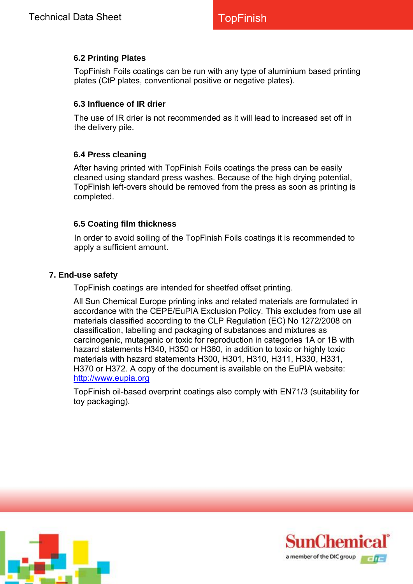# **6.2 Printing Plates**

TopFinish Foils coatings can be run with any type of aluminium based printing plates (CtP plates, conventional positive or negative plates).

#### **6.3 Influence of IR drier**

The use of IR drier is not recommended as it will lead to increased set off in the delivery pile.

### **6.4 Press cleaning**

After having printed with TopFinish Foils coatings the press can be easily cleaned using standard press washes. Because of the high drying potential, TopFinish left-overs should be removed from the press as soon as printing is completed.

### **6.5 Coating film thickness**

In order to avoid soiling of the TopFinish Foils coatings it is recommended to apply a sufficient amount.

#### **7. End-use safety**

TopFinish coatings are intended for sheetfed offset printing.

All Sun Chemical Europe printing inks and related materials are formulated in accordance with the CEPE/EuPIA Exclusion Policy. This excludes from use all materials classified according to the CLP Regulation (EC) No 1272/2008 on classification, labelling and packaging of substances and mixtures as carcinogenic, mutagenic or toxic for reproduction in categories 1A or 1B with hazard statements H340, H350 or H360, in addition to toxic or highly toxic materials with hazard statements H300, H301, H310, H311, H330, H331, H370 or H372. A copy of the document is available on the EuPIA website: [http://www.eupia.org](http://www.eupia.org/)

TopFinish oil-based overprint coatings also comply with EN71/3 (suitability for toy packaging).